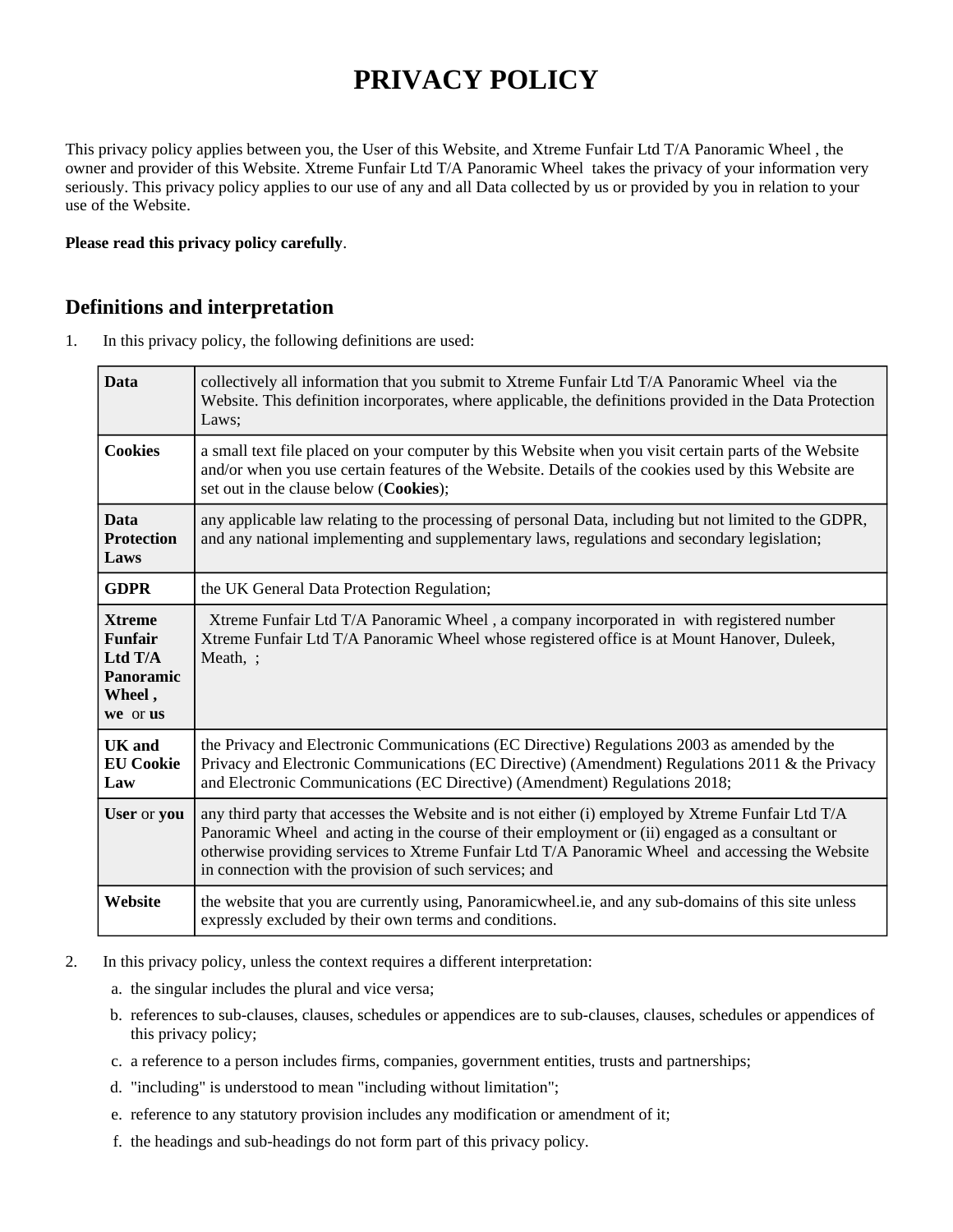# **PRIVACY POLICY**

This privacy policy applies between you, the User of this Website, and Xtreme Funfair Ltd T/A Panoramic Wheel , the owner and provider of this Website. Xtreme Funfair Ltd T/A Panoramic Wheel takes the privacy of your information very seriously. This privacy policy applies to our use of any and all Data collected by us or provided by you in relation to your use of the Website.

#### **Please read this privacy policy carefully**.

### **Definitions and interpretation**

1. In this privacy policy, the following definitions are used:

| <b>Data</b>                                                                            | collectively all information that you submit to Xtreme Funfair Ltd T/A Panoramic Wheel via the<br>Website. This definition incorporates, where applicable, the definitions provided in the Data Protection<br>Laws;                                                                                                                                                 |
|----------------------------------------------------------------------------------------|---------------------------------------------------------------------------------------------------------------------------------------------------------------------------------------------------------------------------------------------------------------------------------------------------------------------------------------------------------------------|
| <b>Cookies</b>                                                                         | a small text file placed on your computer by this Website when you visit certain parts of the Website<br>and/or when you use certain features of the Website. Details of the cookies used by this Website are<br>set out in the clause below (Cookies);                                                                                                             |
| <b>Data</b><br><b>Protection</b><br>Laws                                               | any applicable law relating to the processing of personal Data, including but not limited to the GDPR,<br>and any national implementing and supplementary laws, regulations and secondary legislation;                                                                                                                                                              |
| <b>GDPR</b>                                                                            | the UK General Data Protection Regulation;                                                                                                                                                                                                                                                                                                                          |
| <b>Xtreme</b><br><b>Funfair</b><br>Ltd $T/A$<br><b>Panoramic</b><br>Wheel,<br>we or us | Xtreme Funfair Ltd T/A Panoramic Wheel, a company incorporated in with registered number<br>Xtreme Funfair Ltd T/A Panoramic Wheel whose registered office is at Mount Hanover, Duleek,<br>Meath, ;                                                                                                                                                                 |
| <b>UK</b> and<br><b>EU Cookie</b><br>Law                                               | the Privacy and Electronic Communications (EC Directive) Regulations 2003 as amended by the<br>Privacy and Electronic Communications (EC Directive) (Amendment) Regulations 2011 & the Privacy<br>and Electronic Communications (EC Directive) (Amendment) Regulations 2018;                                                                                        |
| User or you                                                                            | any third party that accesses the Website and is not either (i) employed by Xtreme Funfair Ltd T/A<br>Panoramic Wheel and acting in the course of their employment or (ii) engaged as a consultant or<br>otherwise providing services to Xtreme Funfair Ltd T/A Panoramic Wheel and accessing the Website<br>in connection with the provision of such services; and |
| Website                                                                                | the website that you are currently using, Panoramicwheel.ie, and any sub-domains of this site unless<br>expressly excluded by their own terms and conditions.                                                                                                                                                                                                       |

- 2. In this privacy policy, unless the context requires a different interpretation:
	- a. the singular includes the plural and vice versa;
	- b. references to sub-clauses, clauses, schedules or appendices are to sub-clauses, clauses, schedules or appendices of this privacy policy;
	- c. a reference to a person includes firms, companies, government entities, trusts and partnerships;
	- d. "including" is understood to mean "including without limitation";
	- e. reference to any statutory provision includes any modification or amendment of it;
	- f. the headings and sub-headings do not form part of this privacy policy.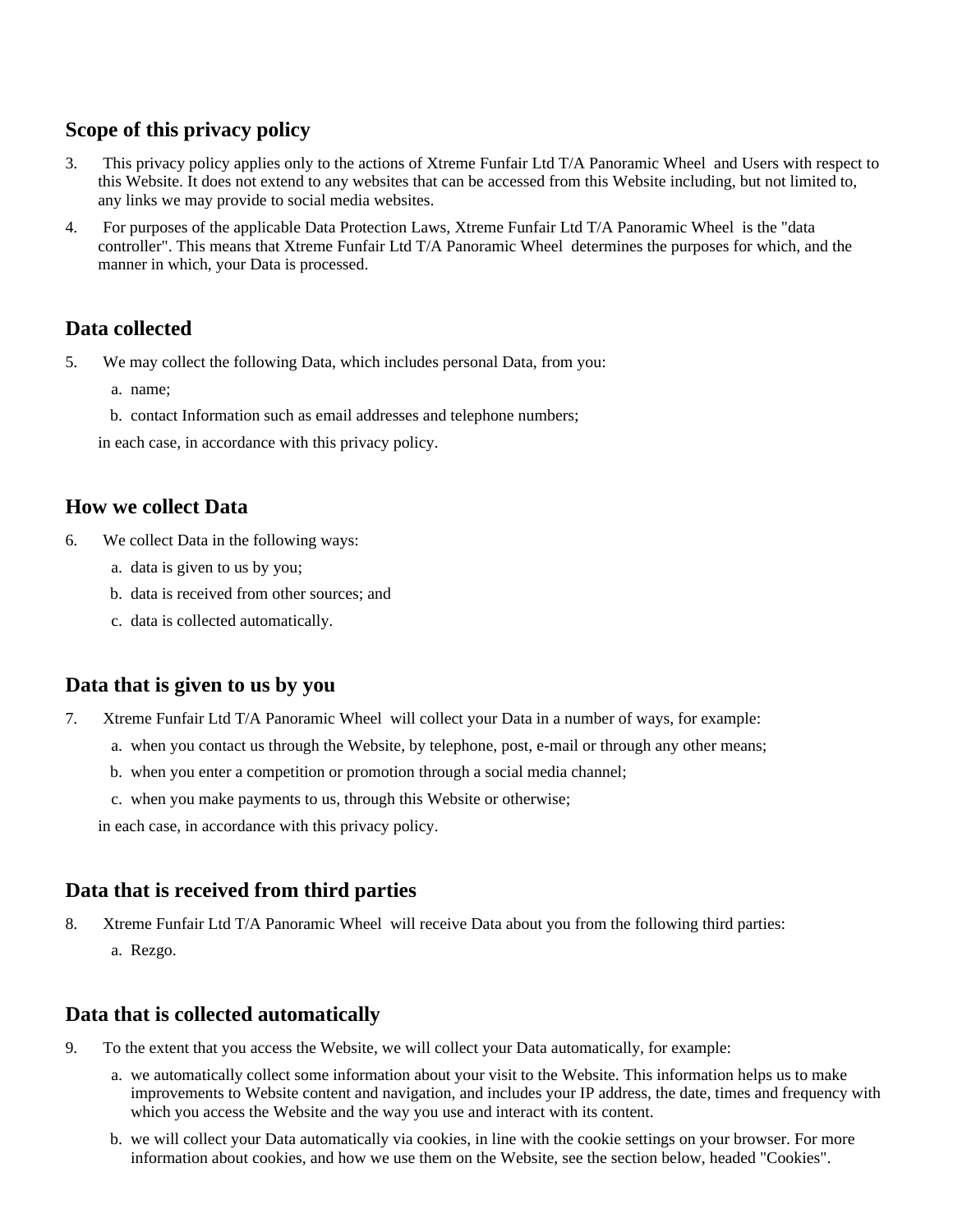# **Scope of this privacy policy**

- 3. This privacy policy applies only to the actions of Xtreme Funfair Ltd T/A Panoramic Wheel and Users with respect to this Website. It does not extend to any websites that can be accessed from this Website including, but not limited to, any links we may provide to social media websites.
- 4. For purposes of the applicable Data Protection Laws, Xtreme Funfair Ltd T/A Panoramic Wheel is the "data controller". This means that Xtreme Funfair Ltd T/A Panoramic Wheel determines the purposes for which, and the manner in which, your Data is processed.

# **Data collected**

- 5. We may collect the following Data, which includes personal Data, from you:
	- a. name;
	- b. contact Information such as email addresses and telephone numbers;

in each case, in accordance with this privacy policy.

#### **How we collect Data**

- 6. We collect Data in the following ways:
	- a. data is given to us by you;
	- b. data is received from other sources; and
	- c. data is collected automatically.

# **Data that is given to us by you**

- 7. Xtreme Funfair Ltd T/A Panoramic Wheel will collect your Data in a number of ways, for example:
	- a. when you contact us through the Website, by telephone, post, e-mail or through any other means;
	- b. when you enter a competition or promotion through a social media channel;
	- c. when you make payments to us, through this Website or otherwise;

in each case, in accordance with this privacy policy.

#### **Data that is received from third parties**

- 8. Xtreme Funfair Ltd T/A Panoramic Wheel will receive Data about you from the following third parties:
	- a. Rezgo.

# **Data that is collected automatically**

- 9. To the extent that you access the Website, we will collect your Data automatically, for example:
	- a. we automatically collect some information about your visit to the Website. This information helps us to make improvements to Website content and navigation, and includes your IP address, the date, times and frequency with which you access the Website and the way you use and interact with its content.
	- b. we will collect your Data automatically via cookies, in line with the cookie settings on your browser. For more information about cookies, and how we use them on the Website, see the section below, headed "Cookies".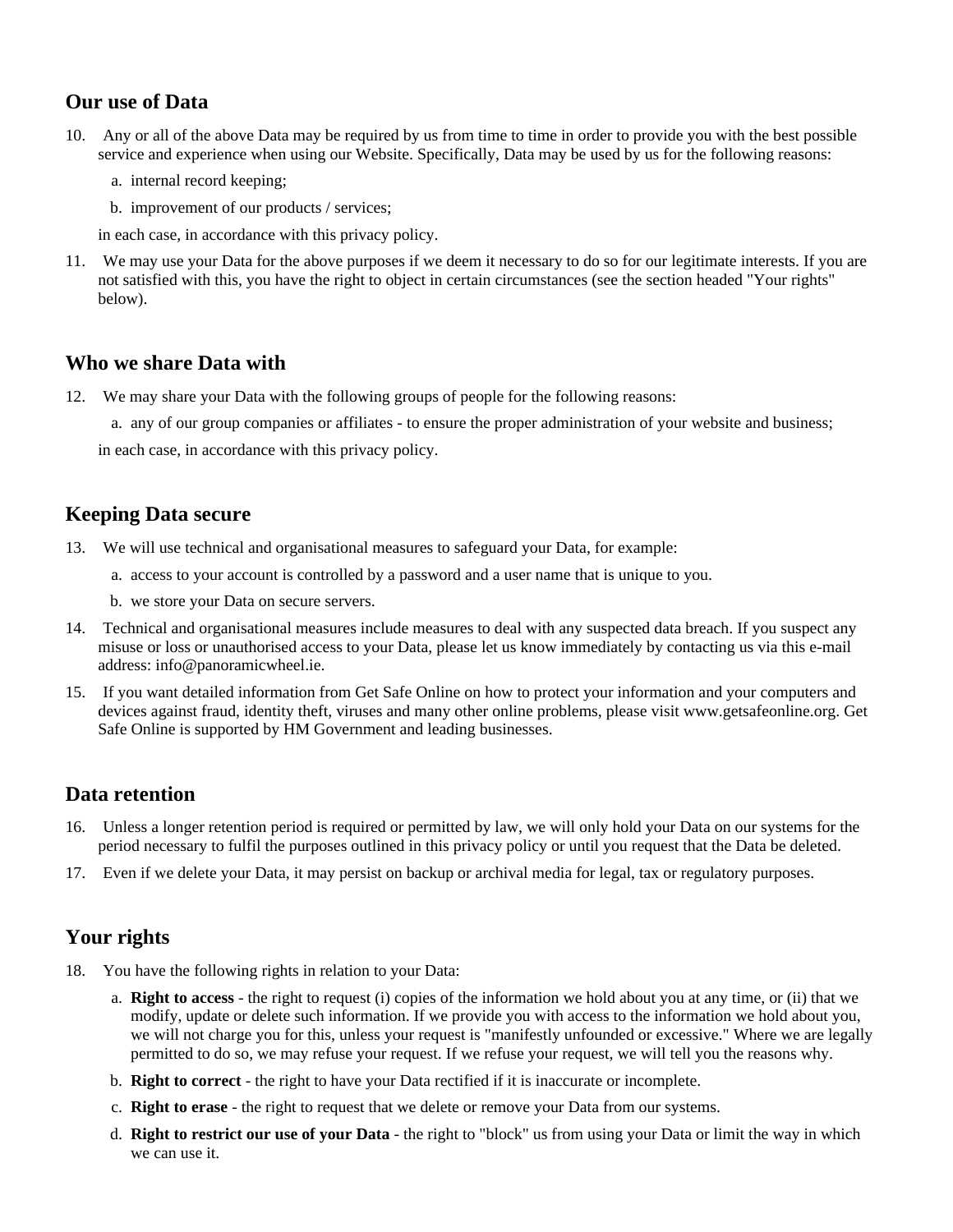# **Our use of Data**

- 10. Any or all of the above Data may be required by us from time to time in order to provide you with the best possible service and experience when using our Website. Specifically, Data may be used by us for the following reasons:
	- a. internal record keeping;
	- b. improvement of our products / services;

in each case, in accordance with this privacy policy.

11. We may use your Data for the above purposes if we deem it necessary to do so for our legitimate interests. If you are not satisfied with this, you have the right to object in certain circumstances (see the section headed "Your rights" below).

### **Who we share Data with**

12. We may share your Data with the following groups of people for the following reasons:

a. any of our group companies or affiliates - to ensure the proper administration of your website and business;

in each case, in accordance with this privacy policy.

### **Keeping Data secure**

- 13. We will use technical and organisational measures to safeguard your Data, for example:
	- a. access to your account is controlled by a password and a user name that is unique to you.
	- b. we store your Data on secure servers.
- 14. Technical and organisational measures include measures to deal with any suspected data breach. If you suspect any misuse or loss or unauthorised access to your Data, please let us know immediately by contacting us via this e-mail address: info@panoramicwheel.ie.
- 15. If you want detailed information from Get Safe Online on how to protect your information and your computers and devices against fraud, identity theft, viruses and many other online problems, please visit www.getsafeonline.org. Get Safe Online is supported by HM Government and leading businesses.

# **Data retention**

- 16. Unless a longer retention period is required or permitted by law, we will only hold your Data on our systems for the period necessary to fulfil the purposes outlined in this privacy policy or until you request that the Data be deleted.
- 17. Even if we delete your Data, it may persist on backup or archival media for legal, tax or regulatory purposes.

# **Your rights**

- 18. You have the following rights in relation to your Data:
	- a. **Right to access** the right to request (i) copies of the information we hold about you at any time, or (ii) that we modify, update or delete such information. If we provide you with access to the information we hold about you, we will not charge you for this, unless your request is "manifestly unfounded or excessive." Where we are legally permitted to do so, we may refuse your request. If we refuse your request, we will tell you the reasons why.
	- b. **Right to correct** the right to have your Data rectified if it is inaccurate or incomplete.
	- c. **Right to erase** the right to request that we delete or remove your Data from our systems.
	- d. **Right to restrict our use of your Data** the right to "block" us from using your Data or limit the way in which we can use it.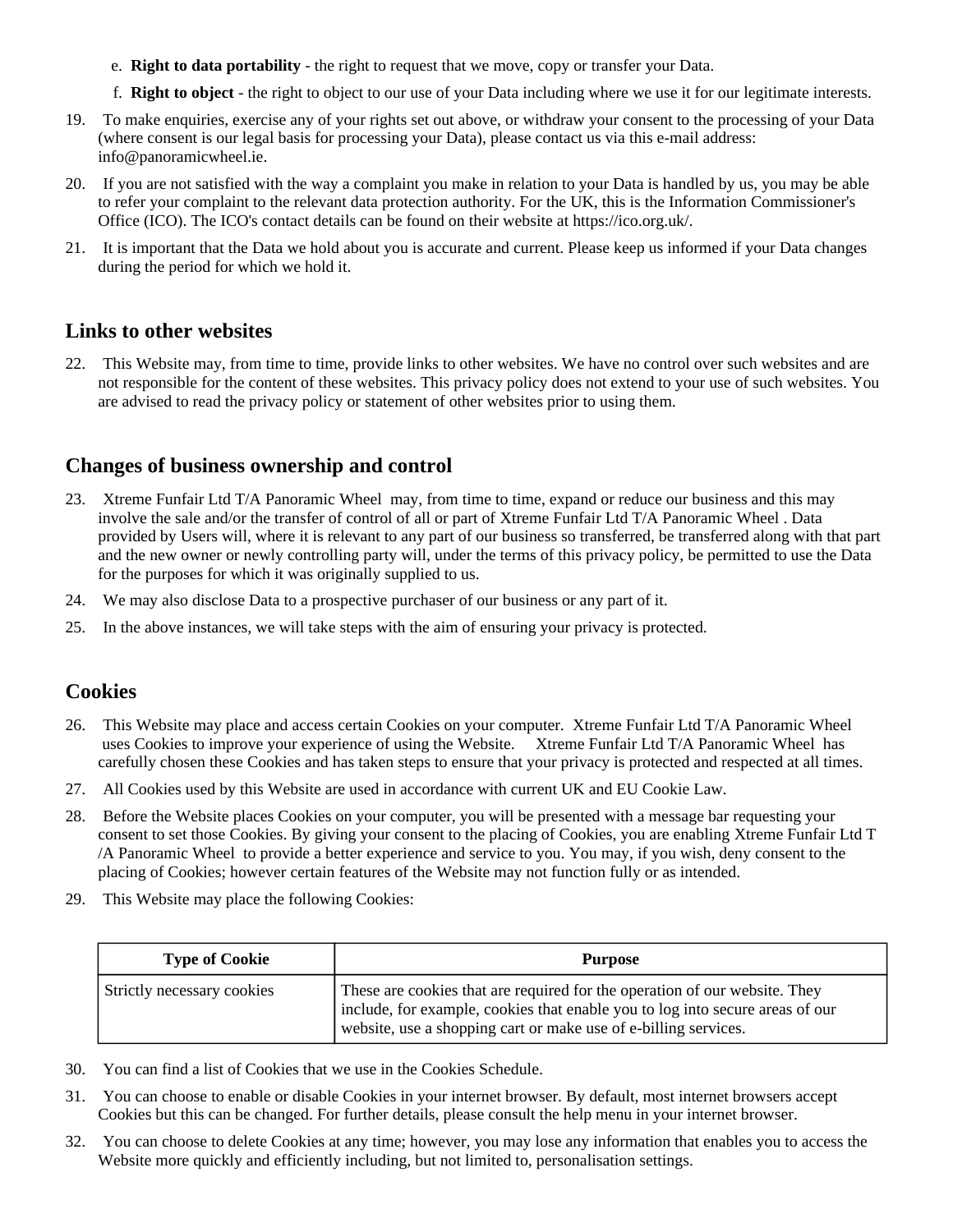- e. **Right to data portability** the right to request that we move, copy or transfer your Data.
- f. **Right to object** the right to object to our use of your Data including where we use it for our legitimate interests.
- 19. To make enquiries, exercise any of your rights set out above, or withdraw your consent to the processing of your Data (where consent is our legal basis for processing your Data), please contact us via this e-mail address: info@panoramicwheel.ie.
- 20. If you are not satisfied with the way a complaint you make in relation to your Data is handled by us, you may be able to refer your complaint to the relevant data protection authority. For the UK, this is the Information Commissioner's Office (ICO). The ICO's contact details can be found on their website at https://ico.org.uk/.
- 21. It is important that the Data we hold about you is accurate and current. Please keep us informed if your Data changes during the period for which we hold it.

#### **Links to other websites**

22. This Website may, from time to time, provide links to other websites. We have no control over such websites and are not responsible for the content of these websites. This privacy policy does not extend to your use of such websites. You are advised to read the privacy policy or statement of other websites prior to using them.

# **Changes of business ownership and control**

- 23. Xtreme Funfair Ltd T/A Panoramic Wheel may, from time to time, expand or reduce our business and this may involve the sale and/or the transfer of control of all or part of Xtreme Funfair Ltd T/A Panoramic Wheel . Data provided by Users will, where it is relevant to any part of our business so transferred, be transferred along with that part and the new owner or newly controlling party will, under the terms of this privacy policy, be permitted to use the Data for the purposes for which it was originally supplied to us.
- 24. We may also disclose Data to a prospective purchaser of our business or any part of it.
- 25. In the above instances, we will take steps with the aim of ensuring your privacy is protected.

# **Cookies**

- 26. This Website may place and access certain Cookies on your computer. Xtreme Funfair Ltd T/A Panoramic Wheel uses Cookies to improve your experience of using the Website. Xtreme Funfair Ltd T/A Panoramic Wheel has carefully chosen these Cookies and has taken steps to ensure that your privacy is protected and respected at all times.
- 27. All Cookies used by this Website are used in accordance with current UK and EU Cookie Law.
- 28. Before the Website places Cookies on your computer, you will be presented with a message bar requesting your consent to set those Cookies. By giving your consent to the placing of Cookies, you are enabling Xtreme Funfair Ltd T /A Panoramic Wheel to provide a better experience and service to you. You may, if you wish, deny consent to the placing of Cookies; however certain features of the Website may not function fully or as intended.
- 29. This Website may place the following Cookies:

| <b>Type of Cookie</b>      | <b>Purpose</b>                                                                                                                                                                                                                 |
|----------------------------|--------------------------------------------------------------------------------------------------------------------------------------------------------------------------------------------------------------------------------|
| Strictly necessary cookies | These are cookies that are required for the operation of our website. They<br>include, for example, cookies that enable you to log into secure areas of our<br>website, use a shopping cart or make use of e-billing services. |

- 30. You can find a list of Cookies that we use in the Cookies Schedule.
- 31. You can choose to enable or disable Cookies in your internet browser. By default, most internet browsers accept Cookies but this can be changed. For further details, please consult the help menu in your internet browser.
- 32. You can choose to delete Cookies at any time; however, you may lose any information that enables you to access the Website more quickly and efficiently including, but not limited to, personalisation settings.